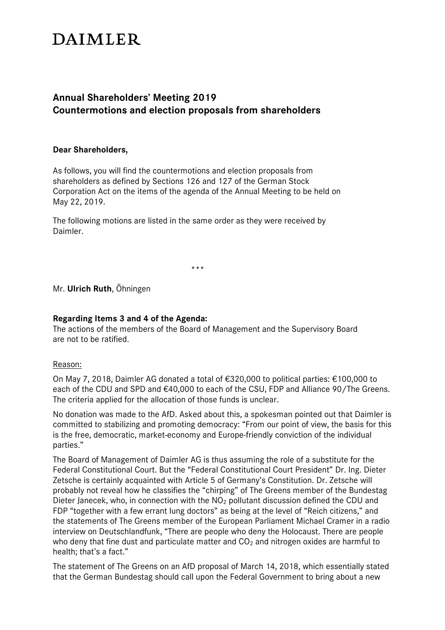# **DAIMLER**

# **Annual Shareholders' Meeting 2019 Countermotions and election proposals from shareholders**

#### **Dear Shareholders,**

As follows, you will find the countermotions and election proposals from shareholders as defined by Sections 126 and 127 of the German Stock Corporation Act on the items of the agenda of the Annual Meeting to be held on May 22, 2019.

The following motions are listed in the same order as they were received by Daimler.

\*\*\*

Mr. **Ulrich Ruth**, Öhningen

# **Regarding Items 3 and 4 of the Agenda:**

The actions of the members of the Board of Management and the Supervisory Board are not to be ratified.

#### Reason:

On May 7, 2018, Daimler AG donated a total of €320,000 to political parties: €100,000 to each of the CDU and SPD and €40,000 to each of the CSU, FDP and Alliance 90/The Greens. The criteria applied for the allocation of those funds is unclear.

No donation was made to the AfD. Asked about this, a spokesman pointed out that Daimler is committed to stabilizing and promoting democracy: "From our point of view, the basis for this is the free, democratic, market-economy and Europe-friendly conviction of the individual parties."

The Board of Management of Daimler AG is thus assuming the role of a substitute for the Federal Constitutional Court. But the "Federal Constitutional Court President" Dr. Ing. Dieter Zetsche is certainly acquainted with Article 5 of Germany's Constitution. Dr. Zetsche will probably not reveal how he classifies the "chirping" of The Greens member of the Bundestag Dieter Janecek, who, in connection with the  $NO<sub>2</sub>$  pollutant discussion defined the CDU and FDP "together with a few errant lung doctors" as being at the level of "Reich citizens," and the statements of The Greens member of the European Parliament Michael Cramer in a radio interview on Deutschlandfunk, "There are people who deny the Holocaust. There are people who deny that fine dust and particulate matter and  $CO<sub>2</sub>$  and nitrogen oxides are harmful to health; that's a fact."

The statement of The Greens on an AfD proposal of March 14, 2018, which essentially stated that the German Bundestag should call upon the Federal Government to bring about a new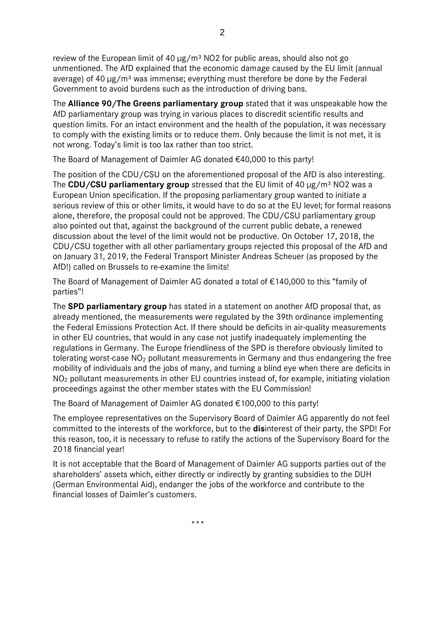review of the European limit of 40  $\mu$ g/m<sup>3</sup> NO2 for public areas, should also not go unmentioned. The AfD explained that the economic damage caused by the EU limit (annual average) of 40 ug/m<sup>3</sup> was immense; everything must therefore be done by the Federal Government to avoid burdens such as the introduction of driving bans.

The **Alliance 90/The Greens parliamentary group** stated that it was unspeakable how the AfD parliamentary group was trying in various places to discredit scientific results and question limits. For an intact environment and the health of the population, it was necessary to comply with the existing limits or to reduce them. Only because the limit is not met, it is not wrong. Today's limit is too lax rather than too strict.

The Board of Management of Daimler AG donated €40,000 to this party!

The position of the CDU/CSU on the aforementioned proposal of the AfD is also interesting. The **CDU/CSU parliamentary group** stressed that the EU limit of 40 µg/m<sup>3</sup> NO2 was a European Union specification. If the proposing parliamentary group wanted to initiate a serious review of this or other limits, it would have to do so at the EU level; for formal reasons alone, therefore, the proposal could not be approved. The CDU/CSU parliamentary group also pointed out that, against the background of the current public debate, a renewed discussion about the level of the limit would not be productive. On October 17, 2018, the CDU/CSU together with all other parliamentary groups rejected this proposal of the AfD and on January 31, 2019, the Federal Transport Minister Andreas Scheuer (as proposed by the AfD!) called on Brussels to re-examine the limits!

The Board of Management of Daimler AG donated a total of €140,000 to this "family of parties"!

The **SPD parliamentary group** has stated in a statement on another AfD proposal that, as already mentioned, the measurements were regulated by the 39th ordinance implementing the Federal Emissions Protection Act. If there should be deficits in air-quality measurements in other EU countries, that would in any case not justify inadequately implementing the regulations in Germany. The Europe friendliness of the SPD is therefore obviously limited to tolerating worst-case  $NO<sub>2</sub>$  pollutant measurements in Germany and thus endangering the free mobility of individuals and the jobs of many, and turning a blind eye when there are deficits in NO2 pollutant measurements in other EU countries instead of, for example, initiating violation proceedings against the other member states with the EU Commission!

The Board of Management of Daimler AG donated €100,000 to this party!

The employee representatives on the Supervisory Board of Daimler AG apparently do not feel committed to the interests of the workforce, but to the **dis**interest of their party, the SPD! For this reason, too, it is necessary to refuse to ratify the actions of the Supervisory Board for the 2018 financial year!

It is not acceptable that the Board of Management of Daimler AG supports parties out of the shareholders' assets which, either directly or indirectly by granting subsidies to the DUH (German Environmental Aid), endanger the jobs of the workforce and contribute to the financial losses of Daimler's customers.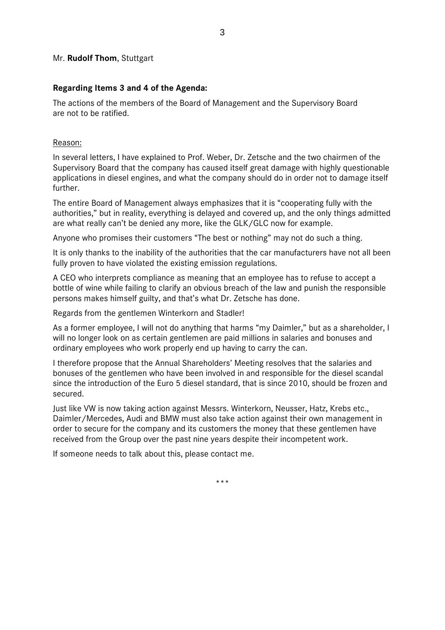#### Mr. **Rudolf Thom**, Stuttgart

#### **Regarding Items 3 and 4 of the Agenda:**

The actions of the members of the Board of Management and the Supervisory Board are not to be ratified.

#### Reason:

In several letters, I have explained to Prof. Weber, Dr. Zetsche and the two chairmen of the Supervisory Board that the company has caused itself great damage with highly questionable applications in diesel engines, and what the company should do in order not to damage itself further.

The entire Board of Management always emphasizes that it is "cooperating fully with the authorities," but in reality, everything is delayed and covered up, and the only things admitted are what really can't be denied any more, like the GLK/GLC now for example.

Anyone who promises their customers "The best or nothing" may not do such a thing.

It is only thanks to the inability of the authorities that the car manufacturers have not all been fully proven to have violated the existing emission regulations.

A CEO who interprets compliance as meaning that an employee has to refuse to accept a bottle of wine while failing to clarify an obvious breach of the law and punish the responsible persons makes himself guilty, and that's what Dr. Zetsche has done.

Regards from the gentlemen Winterkorn and Stadler!

As a former employee, I will not do anything that harms "my Daimler," but as a shareholder, I will no longer look on as certain gentlemen are paid millions in salaries and bonuses and ordinary employees who work properly end up having to carry the can.

I therefore propose that the Annual Shareholders' Meeting resolves that the salaries and bonuses of the gentlemen who have been involved in and responsible for the diesel scandal since the introduction of the Euro 5 diesel standard, that is since 2010, should be frozen and secured.

Just like VW is now taking action against Messrs. Winterkorn, Neusser, Hatz, Krebs etc., Daimler/Mercedes, Audi and BMW must also take action against their own management in order to secure for the company and its customers the money that these gentlemen have received from the Group over the past nine years despite their incompetent work.

If someone needs to talk about this, please contact me.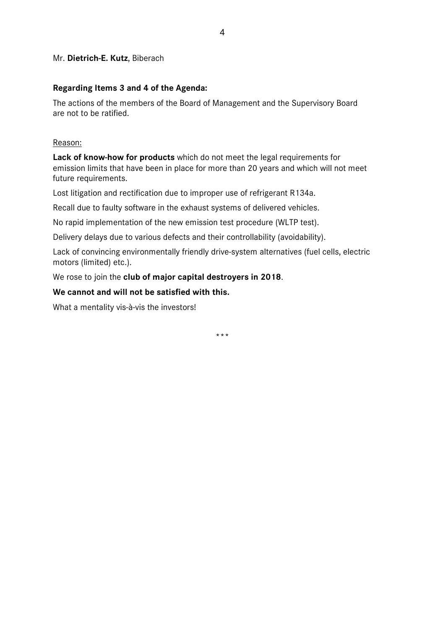#### Mr. **Dietrich-E. Kutz**, Biberach

#### **Regarding Items 3 and 4 of the Agenda:**

The actions of the members of the Board of Management and the Supervisory Board are not to be ratified.

Reason:

**Lack of know-how for products** which do not meet the legal requirements for emission limits that have been in place for more than 20 years and which will not meet future requirements.

Lost litigation and rectification due to improper use of refrigerant R134a.

Recall due to faulty software in the exhaust systems of delivered vehicles.

No rapid implementation of the new emission test procedure (WLTP test).

Delivery delays due to various defects and their controllability (avoidability).

Lack of convincing environmentally friendly drive-system alternatives (fuel cells, electric motors (limited) etc.).

We rose to join the **club of major capital destroyers in 2018**.

# **We cannot and will not be satisfied with this.**

What a mentality vis-à-vis the investors!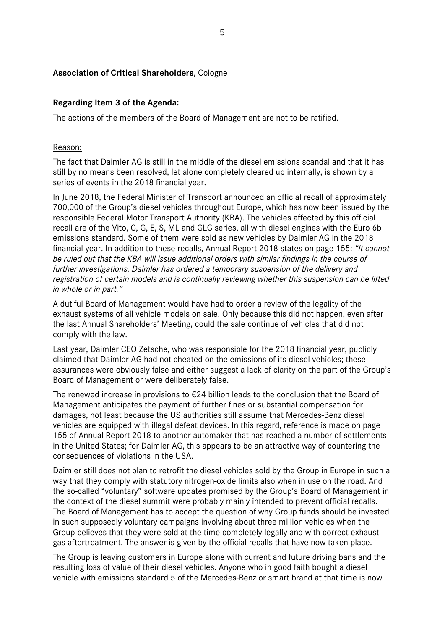# **Association of Critical Shareholders**, Cologne

# **Regarding Item 3 of the Agenda:**

The actions of the members of the Board of Management are not to be ratified.

#### Reason:

The fact that Daimler AG is still in the middle of the diesel emissions scandal and that it has still by no means been resolved, let alone completely cleared up internally, is shown by a series of events in the 2018 financial year.

In June 2018, the Federal Minister of Transport announced an official recall of approximately 700,000 of the Group's diesel vehicles throughout Europe, which has now been issued by the responsible Federal Motor Transport Authority (KBA). The vehicles affected by this official recall are of the Vito, C, G, E, S, ML and GLC series, all with diesel engines with the Euro 6b emissions standard. Some of them were sold as new vehicles by Daimler AG in the 2018 financial year. In addition to these recalls, Annual Report 2018 states on page 155: *"It cannot be ruled out that the KBA will issue additional orders with similar findings in the course of further investigations. Daimler has ordered a temporary suspension of the delivery and registration of certain models and is continually reviewing whether this suspension can be lifted in whole or in part."* 

A dutiful Board of Management would have had to order a review of the legality of the exhaust systems of all vehicle models on sale. Only because this did not happen, even after the last Annual Shareholders' Meeting, could the sale continue of vehicles that did not comply with the law.

Last year, Daimler CEO Zetsche, who was responsible for the 2018 financial year, publicly claimed that Daimler AG had not cheated on the emissions of its diesel vehicles; these assurances were obviously false and either suggest a lack of clarity on the part of the Group's Board of Management or were deliberately false.

The renewed increase in provisions to €24 billion leads to the conclusion that the Board of Management anticipates the payment of further fines or substantial compensation for damages, not least because the US authorities still assume that Mercedes-Benz diesel vehicles are equipped with illegal defeat devices. In this regard, reference is made on page 155 of Annual Report 2018 to another automaker that has reached a number of settlements in the United States; for Daimler AG, this appears to be an attractive way of countering the consequences of violations in the USA.

Daimler still does not plan to retrofit the diesel vehicles sold by the Group in Europe in such a way that they comply with statutory nitrogen-oxide limits also when in use on the road. And the so-called "voluntary" software updates promised by the Group's Board of Management in the context of the diesel summit were probably mainly intended to prevent official recalls. The Board of Management has to accept the question of why Group funds should be invested in such supposedly voluntary campaigns involving about three million vehicles when the Group believes that they were sold at the time completely legally and with correct exhaustgas aftertreatment. The answer is given by the official recalls that have now taken place.

The Group is leaving customers in Europe alone with current and future driving bans and the resulting loss of value of their diesel vehicles. Anyone who in good faith bought a diesel vehicle with emissions standard 5 of the Mercedes-Benz or smart brand at that time is now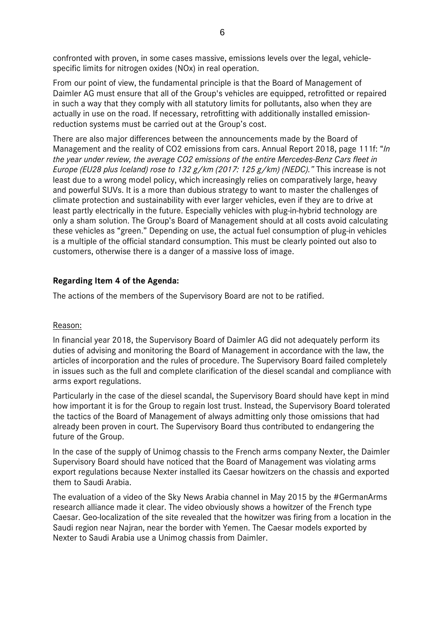confronted with proven, in some cases massive, emissions levels over the legal, vehiclespecific limits for nitrogen oxides (NOx) in real operation.

From our point of view, the fundamental principle is that the Board of Management of Daimler AG must ensure that all of the Group's vehicles are equipped, retrofitted or repaired in such a way that they comply with all statutory limits for pollutants, also when they are actually in use on the road. If necessary, retrofitting with additionally installed emissionreduction systems must be carried out at the Group's cost.

There are also major differences between the announcements made by the Board of Management and the reality of CO2 emissions from cars. Annual Report 2018, page 111f: "*In the year under review, the average CO2 emissions of the entire Mercedes-Benz Cars fleet in Europe (EU28 plus Iceland) rose to 132 g/km (2017: 125 g/km) (NEDC)."* This increase is not least due to a wrong model policy, which increasingly relies on comparatively large, heavy and powerful SUVs. It is a more than dubious strategy to want to master the challenges of climate protection and sustainability with ever larger vehicles, even if they are to drive at least partly electrically in the future. Especially vehicles with plug-in-hybrid technology are only a sham solution. The Group's Board of Management should at all costs avoid calculating these vehicles as "green." Depending on use, the actual fuel consumption of plug-in vehicles is a multiple of the official standard consumption. This must be clearly pointed out also to customers, otherwise there is a danger of a massive loss of image.

# **Regarding Item 4 of the Agenda:**

The actions of the members of the Supervisory Board are not to be ratified.

#### Reason:

In financial year 2018, the Supervisory Board of Daimler AG did not adequately perform its duties of advising and monitoring the Board of Management in accordance with the law, the articles of incorporation and the rules of procedure. The Supervisory Board failed completely in issues such as the full and complete clarification of the diesel scandal and compliance with arms export regulations.

Particularly in the case of the diesel scandal, the Supervisory Board should have kept in mind how important it is for the Group to regain lost trust. Instead, the Supervisory Board tolerated the tactics of the Board of Management of always admitting only those omissions that had already been proven in court. The Supervisory Board thus contributed to endangering the future of the Group.

In the case of the supply of Unimog chassis to the French arms company Nexter, the Daimler Supervisory Board should have noticed that the Board of Management was violating arms export regulations because Nexter installed its Caesar howitzers on the chassis and exported them to Saudi Arabia.

The evaluation of a video of the Sky News Arabia channel in May 2015 by the #GermanArms research alliance made it clear. The video obviously shows a howitzer of the French type Caesar. Geo-localization of the site revealed that the howitzer was firing from a location in the Saudi region near Najran, near the border with Yemen. The Caesar models exported by Nexter to Saudi Arabia use a Unimog chassis from Daimler.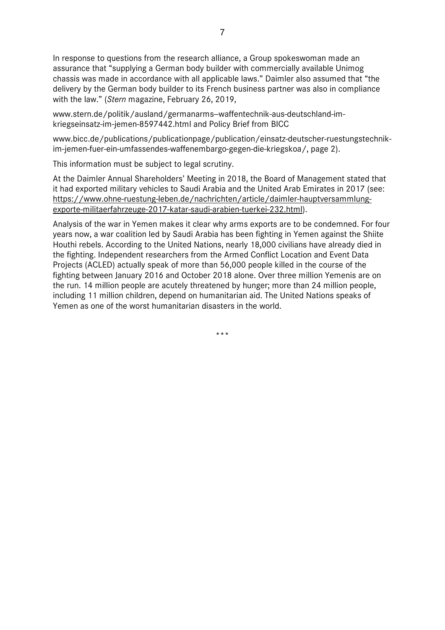In response to questions from the research alliance, a Group spokeswoman made an assurance that "supplying a German body builder with commercially available Unimog chassis was made in accordance with all applicable laws." Daimler also assumed that "the delivery by the German body builder to its French business partner was also in compliance with the law." (*Stern* magazine, February 26, 2019,

www.stern.de/politik/ausland/germanarms-waffentechnik-aus-deutschland-imkriegseinsatz-im-jemen-8597442.html and Policy Brief from BICC

www.bicc.de/publications/publicationpage/publication/einsatz-deutscher-ruestungstechnikim-jemen-fuer-ein-umfassendes-waffenembargo-gegen-die-kriegskoa/, page 2).

This information must be subject to legal scrutiny.

At the Daimler Annual Shareholders' Meeting in 2018, the Board of Management stated that it had exported military vehicles to Saudi Arabia and the United Arab Emirates in 2017 (see: https://www.ohne-ruestung-leben.de/nachrichten/article/daimler-hauptversammlungexporte-militaerfahrzeuge-2017-katar-saudi-arabien-tuerkei-232.html).

Analysis of the war in Yemen makes it clear why arms exports are to be condemned. For four years now, a war coalition led by Saudi Arabia has been fighting in Yemen against the Shiite Houthi rebels. According to the United Nations, nearly 18,000 civilians have already died in the fighting. Independent researchers from the Armed Conflict Location and Event Data Projects (ACLED) actually speak of more than 56,000 people killed in the course of the fighting between January 2016 and October 2018 alone. Over three million Yemenis are on the run. 14 million people are acutely threatened by hunger; more than 24 million people, including 11 million children, depend on humanitarian aid. The United Nations speaks of Yemen as one of the worst humanitarian disasters in the world.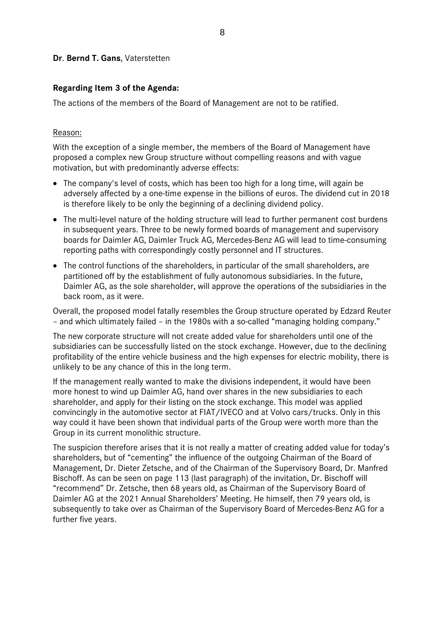#### **Dr**. **Bernd T. Gans**, Vaterstetten

#### **Regarding Item 3 of the Agenda:**

The actions of the members of the Board of Management are not to be ratified.

#### Reason:

With the exception of a single member, the members of the Board of Management have proposed a complex new Group structure without compelling reasons and with vague motivation, but with predominantly adverse effects:

- The company's level of costs, which has been too high for a long time, will again be adversely affected by a one-time expense in the billions of euros. The dividend cut in 2018 is therefore likely to be only the beginning of a declining dividend policy.
- The multi-level nature of the holding structure will lead to further permanent cost burdens in subsequent years. Three to be newly formed boards of management and supervisory boards for Daimler AG, Daimler Truck AG, Mercedes-Benz AG will lead to time-consuming reporting paths with correspondingly costly personnel and IT structures.
- The control functions of the shareholders, in particular of the small shareholders, are partitioned off by the establishment of fully autonomous subsidiaries. In the future, Daimler AG, as the sole shareholder, will approve the operations of the subsidiaries in the back room, as it were.

Overall, the proposed model fatally resembles the Group structure operated by Edzard Reuter – and which ultimately failed – in the 1980s with a so-called "managing holding company."

The new corporate structure will not create added value for shareholders until one of the subsidiaries can be successfully listed on the stock exchange. However, due to the declining profitability of the entire vehicle business and the high expenses for electric mobility, there is unlikely to be any chance of this in the long term.

If the management really wanted to make the divisions independent, it would have been more honest to wind up Daimler AG, hand over shares in the new subsidiaries to each shareholder, and apply for their listing on the stock exchange. This model was applied convincingly in the automotive sector at FIAT/IVECO and at Volvo cars/trucks. Only in this way could it have been shown that individual parts of the Group were worth more than the Group in its current monolithic structure.

The suspicion therefore arises that it is not really a matter of creating added value for today's shareholders, but of "cementing" the influence of the outgoing Chairman of the Board of Management, Dr. Dieter Zetsche, and of the Chairman of the Supervisory Board, Dr. Manfred Bischoff. As can be seen on page 113 (last paragraph) of the invitation, Dr. Bischoff will "recommend" Dr. Zetsche, then 68 years old, as Chairman of the Supervisory Board of Daimler AG at the 2021 Annual Shareholders' Meeting. He himself, then 79 years old, is subsequently to take over as Chairman of the Supervisory Board of Mercedes-Benz AG for a further five years.